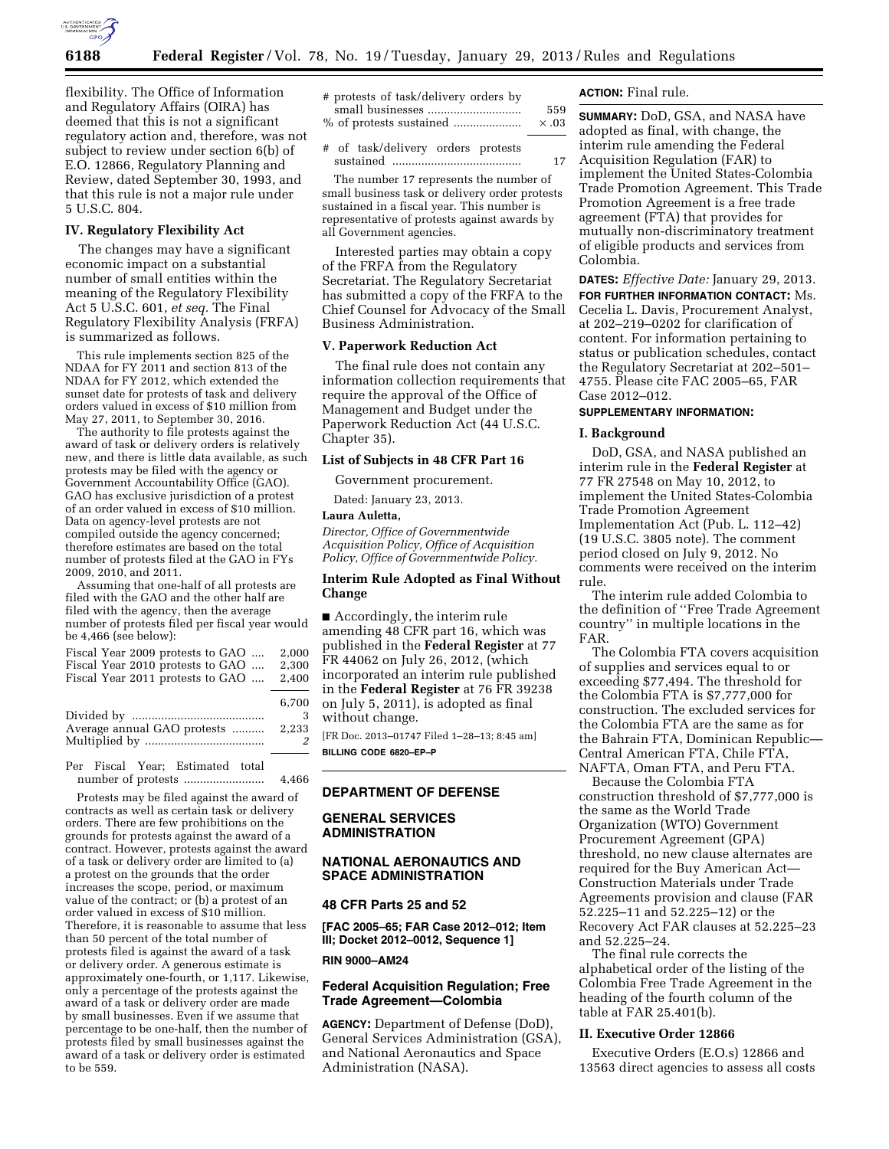

**6188 Federal Register** / Vol. 78, No. 19 / Tuesday, January 29, 2013 / Rules and Regulations

flexibility. The Office of Information and Regulatory Affairs (OIRA) has deemed that this is not a significant regulatory action and, therefore, was not subject to review under section 6(b) of E.O. 12866, Regulatory Planning and Review, dated September 30, 1993, and that this rule is not a major rule under 5 U.S.C. 804.

## **IV. Regulatory Flexibility Act**

The changes may have a significant economic impact on a substantial number of small entities within the meaning of the Regulatory Flexibility Act 5 U.S.C. 601, *et seq.* The Final Regulatory Flexibility Analysis (FRFA) is summarized as follows.

This rule implements section 825 of the NDAA for FY 2011 and section 813 of the NDAA for FY 2012, which extended the sunset date for protests of task and delivery orders valued in excess of \$10 million from May 27, 2011, to September 30, 2016.

The authority to file protests against the award of task or delivery orders is relatively new, and there is little data available, as such protests may be filed with the agency or Government Accountability Office (GAO). GAO has exclusive jurisdiction of a protest of an order valued in excess of \$10 million. Data on agency-level protests are not compiled outside the agency concerned; therefore estimates are based on the total number of protests filed at the GAO in FYs 2009, 2010, and 2011.

Assuming that one-half of all protests are filed with the GAO and the other half are filed with the agency, then the average number of protests filed per fiscal year would be 4,466 (see below):

|  | Fiscal Year 2009 protests to GAO |  | 2.000 |
|--|----------------------------------|--|-------|
|  | Fiscal Year 2010 protests to GAO |  | 2.300 |
|  | Fiscal Year 2011 protests to GAO |  | 2.400 |
|  |                                  |  |       |

|                                    | 6.700 |
|------------------------------------|-------|
|                                    |       |
| Average annual GAO protests  2,233 |       |
|                                    |       |

Per Fiscal Year; Estimated total number of protests ......................... 4,466

Protests may be filed against the award of contracts as well as certain task or delivery orders. There are few prohibitions on the grounds for protests against the award of a contract. However, protests against the award of a task or delivery order are limited to (a) a protest on the grounds that the order increases the scope, period, or maximum value of the contract; or (b) a protest of an order valued in excess of \$10 million. Therefore, it is reasonable to assume that less than 50 percent of the total number of protests filed is against the award of a task or delivery order. A generous estimate is approximately one-fourth, or 1,117. Likewise, only a percentage of the protests against the award of a task or delivery order are made by small businesses. Even if we assume that percentage to be one-half, then the number of protests filed by small businesses against the award of a task or delivery order is estimated to be 559.

# protests of task/delivery orders by small businesses ............................. 559 % of protests sustained ..................... × .03

# of task/delivery orders protests sustained ........................................ 17

The number 17 represents the number of small business task or delivery order protests sustained in a fiscal year. This number is representative of protests against awards by all Government agencies.

Interested parties may obtain a copy of the FRFA from the Regulatory Secretariat. The Regulatory Secretariat has submitted a copy of the FRFA to the Chief Counsel for Advocacy of the Small Business Administration.

#### **V. Paperwork Reduction Act**

The final rule does not contain any information collection requirements that require the approval of the Office of Management and Budget under the Paperwork Reduction Act (44 U.S.C. Chapter 35).

### **List of Subjects in 48 CFR Part 16**

Government procurement.

Dated: January 23, 2013.

# **Laura Auletta,**

*Director, Office of Governmentwide Acquisition Policy, Office of Acquisition Policy, Office of Governmentwide Policy.* 

### **Interim Rule Adopted as Final Without Change**

■ Accordingly, the interim rule amending 48 CFR part 16, which was published in the **Federal Register** at 77 FR 44062 on July 26, 2012, (which incorporated an interim rule published in the **Federal Register** at 76 FR 39238 on July 5, 2011), is adopted as final without change.

[FR Doc. 2013–01747 Filed 1–28–13; 8:45 am] **BILLING CODE 6820–EP–P** 

## **DEPARTMENT OF DEFENSE**

## **GENERAL SERVICES ADMINISTRATION**

## **NATIONAL AERONAUTICS AND SPACE ADMINISTRATION**

#### **48 CFR Parts 25 and 52**

**[FAC 2005–65; FAR Case 2012–012; Item III; Docket 2012–0012, Sequence 1]** 

#### **RIN 9000–AM24**

## **Federal Acquisition Regulation; Free Trade Agreement—Colombia**

**AGENCY:** Department of Defense (DoD), General Services Administration (GSA), and National Aeronautics and Space Administration (NASA).

## **ACTION:** Final rule.

**SUMMARY:** DoD, GSA, and NASA have adopted as final, with change, the interim rule amending the Federal Acquisition Regulation (FAR) to implement the United States-Colombia Trade Promotion Agreement. This Trade Promotion Agreement is a free trade agreement (FTA) that provides for mutually non-discriminatory treatment of eligible products and services from Colombia.

**DATES:** *Effective Date:* January 29, 2013. **FOR FURTHER INFORMATION CONTACT:** Ms. Cecelia L. Davis, Procurement Analyst, at 202–219–0202 for clarification of content. For information pertaining to status or publication schedules, contact the Regulatory Secretariat at 202–501– 4755. Please cite FAC 2005–65, FAR Case 2012–012.

## **SUPPLEMENTARY INFORMATION:**

#### **I. Background**

DoD, GSA, and NASA published an interim rule in the **Federal Register** at 77 FR 27548 on May 10, 2012, to implement the United States-Colombia Trade Promotion Agreement Implementation Act (Pub. L. 112–42) (19 U.S.C. 3805 note). The comment period closed on July 9, 2012. No comments were received on the interim rule.

The interim rule added Colombia to the definition of ''Free Trade Agreement country'' in multiple locations in the FAR.

The Colombia FTA covers acquisition of supplies and services equal to or exceeding \$77,494. The threshold for the Colombia FTA is \$7,777,000 for construction. The excluded services for the Colombia FTA are the same as for the Bahrain FTA, Dominican Republic— Central American FTA, Chile FTA, NAFTA, Oman FTA, and Peru FTA.

Because the Colombia FTA construction threshold of \$7,777,000 is the same as the World Trade Organization (WTO) Government Procurement Agreement (GPA) threshold, no new clause alternates are required for the Buy American Act— Construction Materials under Trade Agreements provision and clause (FAR 52.225–11 and 52.225–12) or the Recovery Act FAR clauses at 52.225–23 and 52.225–24.

The final rule corrects the alphabetical order of the listing of the Colombia Free Trade Agreement in the heading of the fourth column of the table at FAR 25.401(b).

## **II. Executive Order 12866**

Executive Orders (E.O.s) 12866 and 13563 direct agencies to assess all costs